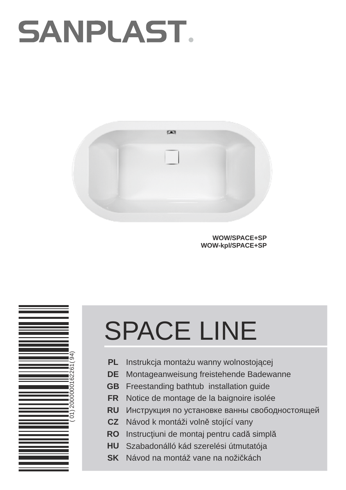## **SANPLAST.**



**WOW/SPACE+SP WOW-kpl/SPACE+SP**



- **PL** Instrukcja monta u wanny wolnostoj cej
- **DE** Montageanweisung freistehende Badewanne
- **GB** Freestanding bathtub installation guide
- **FR RU** Notice de montage de la baignoire isolée
- **CZ** Návod k montáži voln stojící vany
- **RO** Instruc iuni de montaj pentru cad simpl
- **HU** Szabadonálló kád szerelési útmutatója
- **SK** Návod na montáž vane na noži kách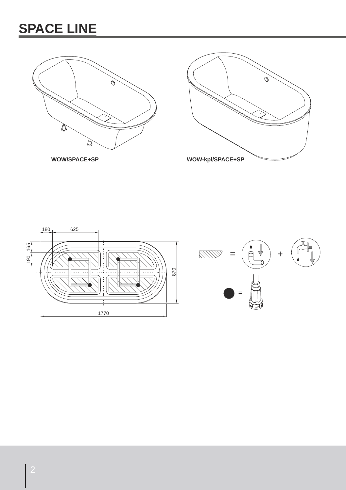





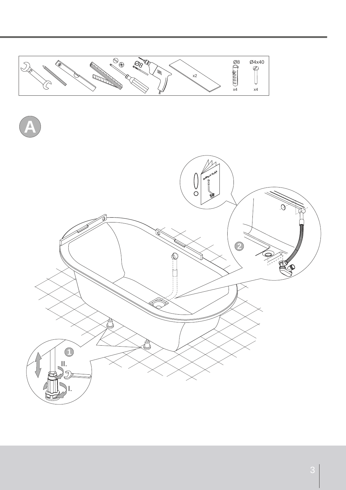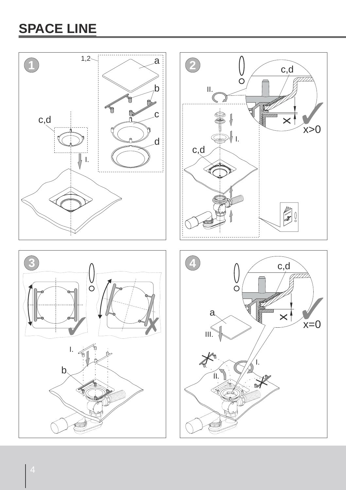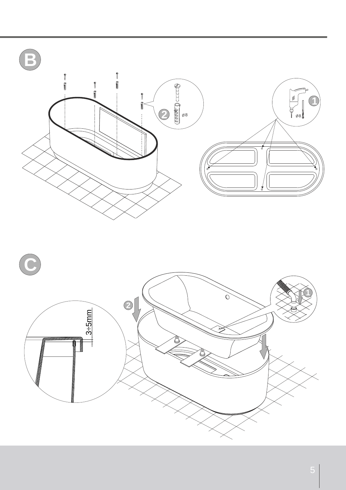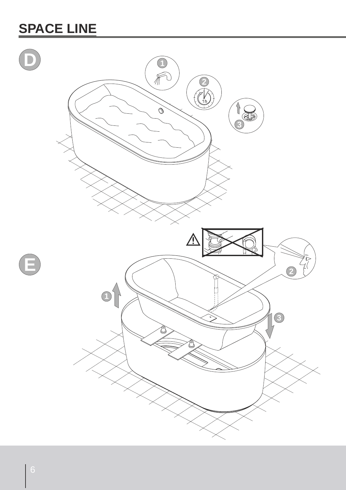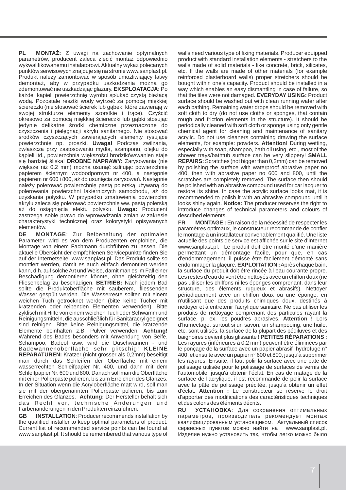**PL MONTA :** Z uwagi na zachowanie optymalnych parametrów, producent zaleca zleci monta odpowiednio wykwalifikowanemu instalatorowi. Aktualny wykaz polecanych punktów serwisowych znajduje si na stronie www.sanplast.pl. Produkt nale y zamontowa w sposób umo liwiaj cy łatwy demonta , aby w przypadku uszkodzenia mo na go zdemontowa nie uszkadzaj c glazury. **EKSPLOATACJA:** Po ka dej k pieli powierzchni wyrobu spłuka czyst bie c wod . Pozostałe resztki wody wytrze za pomoc mi kkiej ciereczki (nie stosowa cierek lub g bek, które zawieraj w swojej strukturze elementy szorstkie i tr ce). Czy ci okresowo za pomoc mi kkiej ciereczki lub g bki stosuj c jedynie delikatne rodki chemiczne przeznaczone do czyszczenia i piel gnacji akrylu sanitarnego. Nie stosowa rodków czyszcz cych zawieraj cych elementy rysuj ce powierzchni np. proszki. **Uwaga!** Podczas zwil ania, zwłaszcza przy zastosowaniu mydła, szamponu, olejku do

k pieli itd., powierzchnia wi kszo ci brodzików/wanien staje si bardziej liska! **DROBNE NAPRAWY:** Zarysowania (nie wi ksze ni 0,2 mm) mo na usun szlifuj c powierzchni papierem ciernym wodoodpornym nr 400, a nast pnie papierem nr 600 i 800, a do usuni cia zarysowa . Nast pnie nale y polerowa powierzchni past polersk u ywan do polerowania powierzchni lakierniczych samochodu, a do uzyskania połysku. W przypadku zmatowienia powierzchni akrylu zaleca si polerowa powierzchni ww. past polersk a do osi gni cia efektu połysku. **Uwaga:** Producent zastrzega sobie prawo do wprowadzania zmian w zakresie charakterystyki technicznej oraz kolorystyki opisywanych elementów.<br>DE MOI

**DE MONTAGE**: Zur Beibehaltung der optimalen Parameter, wird es von dem Produzenten empfohlen, die Montage von einem Fachmann durchführen zu lassen. Die aktuelle Übersicht der empfohlenen Servicepunkte finden Sie auf der Internetseite: www.sanplast.pl. Das Produkt sollte so montiert werden, damit es auch einfach demontiert werden kann, d.h. auf solche Art und Weise, damit man es im Fall einer Beschädigung demontieren könnte, ohne gleichzeitig den Fliesenbelag zu beschädigen. **BETRIEB:** Nach jedem Bad sollte die Produktoberfläche mit sauberem, fliessenden Wasser gespült werden. Die Wasserreste sollten mit einem weichen Tuch getrocknet werden (bitte keine Tücher mit kratzenden oder reibenden Elementen verwenden). Bitte zyklisch mit Hilfe von einem weichen Tuch oder Schwamm und Reinigungsmitteln, die ausschließlich für Sanitäracryl geeignet sind reinigen. Bitte keine Reinigungsmittel, die kratzende Elemente beinhalten z.B. Pulver verwenden. **Achtung!** Während des Bades besonders mit Anwendung von Seife, Schampoo, Badeöl usw. wird die Duschwannen - und Badewannenoberfläche sehr glitschig! **KLEINE REPARATUREN:** Kratzer (nicht grösser als 0,2mm) beseitigt man durch das Schleifen der Oberfläche mit einem wasserrechten Schleifpapier Nr. 400, und dann mit dem Schleifpapier Nr. 600 und 800. Danach soll man die Oberfläche mit einer Polierpaste polieren, bis zum Erreichen des Glanzes. In der Situation wenn die Acryloberfläche matt wird, soll man sie mit der obergenannten Polierpaste polieren, bis zum Erreichen des Glanzes. **Achtung:** Der Hersteller behält sich das Recht vor, technische Änderungen und Farbenänderungen in den Produkten einzuführen.

**GB INSTALLATION**: Producer recommends installation by the qualified installer to keep optimal parameters of product. Current list of recommended service points can be found at www.sanplast.pl. It should be remembered that various type of walls need various type of fixing materials. Producer equipped product with standard installation elements - stretchers to the .<br>walls made of solid materials - like concrete, brick, silicates, etc. If the walls are made of other materials (for example reinforced plasterboard walls) proper stretchers should be bought within one's capacity. Product should be installed in a way which enables an easy dismantling in case of failure, so that the tiles were not damaged. **EVERYDAY USING:** Product surface should be washed out with clean running water after each bathing. Remaining water drops should be removed with soft cloth to dry (do not use cloths or sponges, that contain rough and friction elements in the structure). It should be periodically cleaned with soft cloth or sponge using only gentle chemical agent for cleaning and maintenance of sanitary acrylic. Do not use cleaners containing drawing the surface elements, for example: powders. **Attention!** During wetting, especially with soap, shampoo, bath oil using, etc., most of the shower trays/bathtub surface can be very slippery! **SMALL REPAIRS:** Scratches (not bigger than 0,2mm) can be removed by polishing the surface with waterproof abrasive paper no 400, then with abrasive paper no 600 and 800, until the scratches are completely removed. The surface then should be polished with an abrasive compound used for car lacquer to restore its shine. In case the acrylic surface looks mat, it is recommended to polish it with an abrasive compound until it looks shiny again. **Notice:** The producer reserves the right to introduce changes of technical parameters and colours of described elements.

**FR MONTAGE :** En raison de la nécessité de respecter les paramètres optimaux, le constructeur recommande de confier le montage à un installateur convenablement qualifié. Une liste actuelle des points de service est affichée sur le site d'Internet www.sanplast.pl. Le produit doit être monté d'une manière permettant un démontage facile, pour que, en cas d'endommagement, il puisse être facilement démonté sans endommager la glaçure. **EXPLOITATION :**Après chaque bain, la surface du produit doit être rincée à l'eau courante propre. Les restes d'eau doivent être nettoyés avec un chiffon doux (ne pas utiliser les chiffons ni les éponges comprenant, dans leur structure, des éléments rugueux et abrasifs). Nettoyer périodiquement avec un chiffon doux ou une éponge, en n'utilisant que des produits chimiques doux, destinés à nettoyer et à entretenir l'acrylique sanitaire. Ne pas utiliser les produits de nettoyage comprenant des particules rayant la surface, p. ex. les poudres abrasives. **Attention !** Lors d'humectage, surtout si un savon, un shampooing, une huile, etc. sont utilisés, la surface de la plupart des pédiluves et des baignoires devient plus glissante ! **PETITES RÉPARATIONS :** Les rayures (inférieures à 0,2 mm) peuvent être éliminées par le ponçage de la surface avec un papier abrasif hydrofuge n° 400, et ensuite avec un papier n° 600 et 800, jusqu'à supprimer les rayures. Ensuite, il faut polir la surface avec une pâte de polissage utilisée pour le polissage de surfaces de vernis de l'automobile, jusqu'à obtenir l'éclat. En cas de matage de la surface de l'acrylique, il est recommandé de polir la surface avec la pâte de polissage précitée, jusqu'à obtenir un effet d'éclat. **Attention :** Le constructeur se réserve le droit d'apporter des modifications des caractéristiques techniques et des coloris des éléments décrits.

 $\mathbf{y}$ 

**RU** :

,

квалифицированным становщиком. Ак альный список www.sanplast.pl.